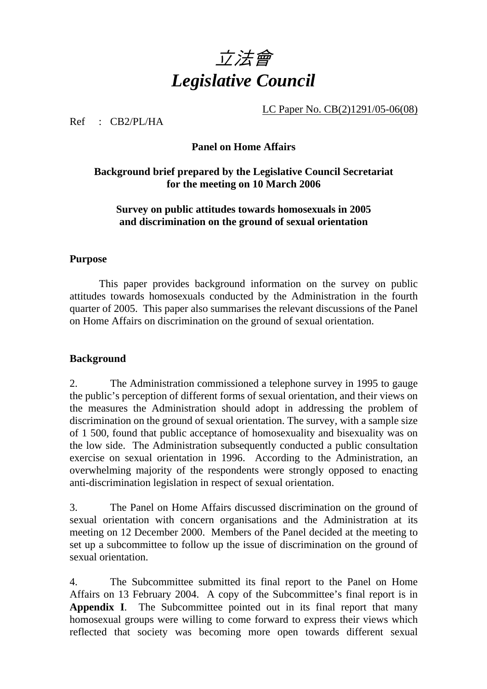

LC Paper No. CB(2)1291/05-06(08)

Ref : CB2/PL/HA

#### **Panel on Home Affairs**

#### **Background brief prepared by the Legislative Council Secretariat for the meeting on 10 March 2006**

#### **Survey on public attitudes towards homosexuals in 2005 and discrimination on the ground of sexual orientation**

#### **Purpose**

 This paper provides background information on the survey on public attitudes towards homosexuals conducted by the Administration in the fourth quarter of 2005. This paper also summarises the relevant discussions of the Panel on Home Affairs on discrimination on the ground of sexual orientation.

#### **Background**

2. The Administration commissioned a telephone survey in 1995 to gauge the public's perception of different forms of sexual orientation, and their views on the measures the Administration should adopt in addressing the problem of discrimination on the ground of sexual orientation. The survey, with a sample size of 1 500, found that public acceptance of homosexuality and bisexuality was on the low side. The Administration subsequently conducted a public consultation exercise on sexual orientation in 1996. According to the Administration, an overwhelming majority of the respondents were strongly opposed to enacting anti-discrimination legislation in respect of sexual orientation.

3. The Panel on Home Affairs discussed discrimination on the ground of sexual orientation with concern organisations and the Administration at its meeting on 12 December 2000. Members of the Panel decided at the meeting to set up a subcommittee to follow up the issue of discrimination on the ground of sexual orientation.

4. The Subcommittee submitted its final report to the Panel on Home Affairs on 13 February 2004. A copy of the Subcommittee's final report is in **Appendix I**. The Subcommittee pointed out in its final report that many homosexual groups were willing to come forward to express their views which reflected that society was becoming more open towards different sexual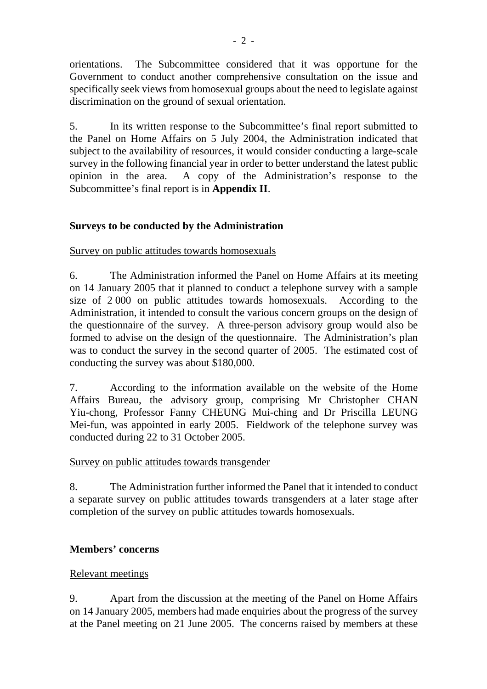orientations. The Subcommittee considered that it was opportune for the Government to conduct another comprehensive consultation on the issue and specifically seek views from homosexual groups about the need to legislate against discrimination on the ground of sexual orientation.

5. In its written response to the Subcommittee's final report submitted to the Panel on Home Affairs on 5 July 2004, the Administration indicated that subject to the availability of resources, it would consider conducting a large-scale survey in the following financial year in order to better understand the latest public opinion in the area. A copy of the Administration's response to the Subcommittee's final report is in **Appendix II**.

## **Surveys to be conducted by the Administration**

#### Survey on public attitudes towards homosexuals

6. The Administration informed the Panel on Home Affairs at its meeting on 14 January 2005 that it planned to conduct a telephone survey with a sample size of 2 000 on public attitudes towards homosexuals. According to the Administration, it intended to consult the various concern groups on the design of the questionnaire of the survey. A three-person advisory group would also be formed to advise on the design of the questionnaire. The Administration's plan was to conduct the survey in the second quarter of 2005. The estimated cost of conducting the survey was about \$180,000.

7. According to the information available on the website of the Home Affairs Bureau, the advisory group, comprising Mr Christopher CHAN Yiu-chong, Professor Fanny CHEUNG Mui-ching and Dr Priscilla LEUNG Mei-fun, was appointed in early 2005. Fieldwork of the telephone survey was conducted during 22 to 31 October 2005.

## Survey on public attitudes towards transgender

8. The Administration further informed the Panel that it intended to conduct a separate survey on public attitudes towards transgenders at a later stage after completion of the survey on public attitudes towards homosexuals.

## **Members' concerns**

## Relevant meetings

9. Apart from the discussion at the meeting of the Panel on Home Affairs on 14 January 2005, members had made enquiries about the progress of the survey at the Panel meeting on 21 June 2005. The concerns raised by members at these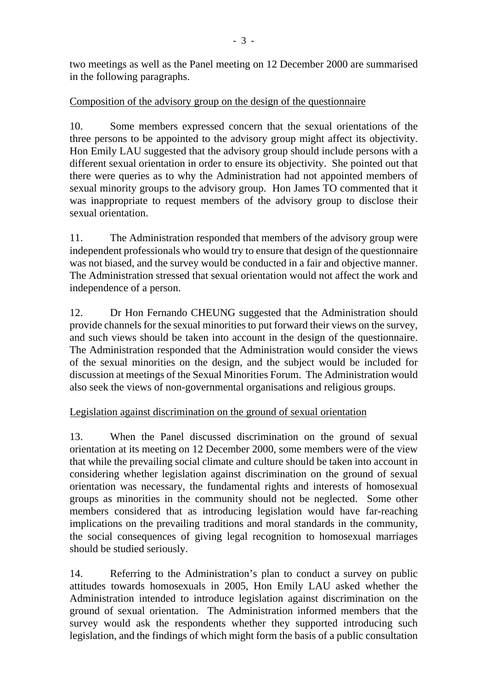two meetings as well as the Panel meeting on 12 December 2000 are summarised in the following paragraphs.

## Composition of the advisory group on the design of the questionnaire

10. Some members expressed concern that the sexual orientations of the three persons to be appointed to the advisory group might affect its objectivity. Hon Emily LAU suggested that the advisory group should include persons with a different sexual orientation in order to ensure its objectivity. She pointed out that there were queries as to why the Administration had not appointed members of sexual minority groups to the advisory group. Hon James TO commented that it was inappropriate to request members of the advisory group to disclose their sexual orientation.

11. The Administration responded that members of the advisory group were independent professionals who would try to ensure that design of the questionnaire was not biased, and the survey would be conducted in a fair and objective manner. The Administration stressed that sexual orientation would not affect the work and independence of a person.

12. Dr Hon Fernando CHEUNG suggested that the Administration should provide channels for the sexual minorities to put forward their views on the survey, and such views should be taken into account in the design of the questionnaire. The Administration responded that the Administration would consider the views of the sexual minorities on the design, and the subject would be included for discussion at meetings of the Sexual Minorities Forum. The Administration would also seek the views of non-governmental organisations and religious groups.

## Legislation against discrimination on the ground of sexual orientation

13. When the Panel discussed discrimination on the ground of sexual orientation at its meeting on 12 December 2000, some members were of the view that while the prevailing social climate and culture should be taken into account in considering whether legislation against discrimination on the ground of sexual orientation was necessary, the fundamental rights and interests of homosexual groups as minorities in the community should not be neglected. Some other members considered that as introducing legislation would have far-reaching implications on the prevailing traditions and moral standards in the community, the social consequences of giving legal recognition to homosexual marriages should be studied seriously.

14. Referring to the Administration's plan to conduct a survey on public attitudes towards homosexuals in 2005, Hon Emily LAU asked whether the Administration intended to introduce legislation against discrimination on the ground of sexual orientation. The Administration informed members that the survey would ask the respondents whether they supported introducing such legislation, and the findings of which might form the basis of a public consultation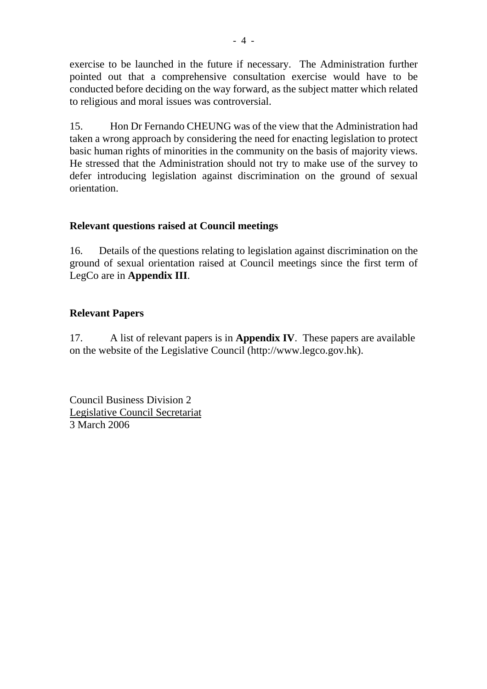exercise to be launched in the future if necessary. The Administration further pointed out that a comprehensive consultation exercise would have to be conducted before deciding on the way forward, as the subject matter which related to religious and moral issues was controversial.

15. Hon Dr Fernando CHEUNG was of the view that the Administration had taken a wrong approach by considering the need for enacting legislation to protect basic human rights of minorities in the community on the basis of majority views. He stressed that the Administration should not try to make use of the survey to defer introducing legislation against discrimination on the ground of sexual orientation.

## **Relevant questions raised at Council meetings**

16. Details of the questions relating to legislation against discrimination on the ground of sexual orientation raised at Council meetings since the first term of LegCo are in **Appendix III**.

## **Relevant Papers**

17. A list of relevant papers is in **Appendix IV**. These papers are available on the website of the Legislative Council (http://www.legco.gov.hk).

Council Business Division 2 Legislative Council Secretariat 3 March 2006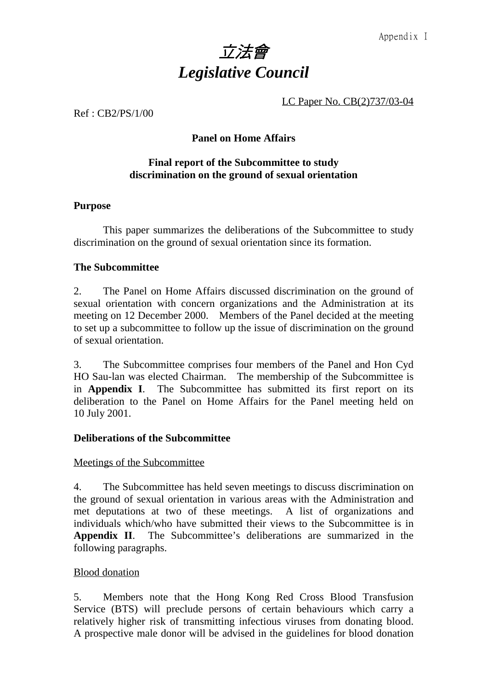

LC Paper No. CB(2)737/03-04

Ref : CB2/PS/1/00

#### **Panel on Home Affairs**

#### **Final report of the Subcommittee to study discrimination on the ground of sexual orientation**

#### **Purpose**

This paper summarizes the deliberations of the Subcommittee to study discrimination on the ground of sexual orientation since its formation.

#### **The Subcommittee**

2. The Panel on Home Affairs discussed discrimination on the ground of sexual orientation with concern organizations and the Administration at its meeting on 12 December 2000. Members of the Panel decided at the meeting to set up a subcommittee to follow up the issue of discrimination on the ground of sexual orientation.

3. The Subcommittee comprises four members of the Panel and Hon Cyd HO Sau-lan was elected Chairman. The membership of the Subcommittee is in **Appendix I**. The Subcommittee has submitted its first report on its deliberation to the Panel on Home Affairs for the Panel meeting held on 10 July 2001.

#### **Deliberations of the Subcommittee**

#### Meetings of the Subcommittee

4. The Subcommittee has held seven meetings to discuss discrimination on the ground of sexual orientation in various areas with the Administration and met deputations at two of these meetings. A list of organizations and individuals which/who have submitted their views to the Subcommittee is in **Appendix II**. The Subcommittee's deliberations are summarized in the following paragraphs.

#### Blood donation

5. Members note that the Hong Kong Red Cross Blood Transfusion Service (BTS) will preclude persons of certain behaviours which carry a relatively higher risk of transmitting infectious viruses from donating blood. A prospective male donor will be advised in the guidelines for blood donation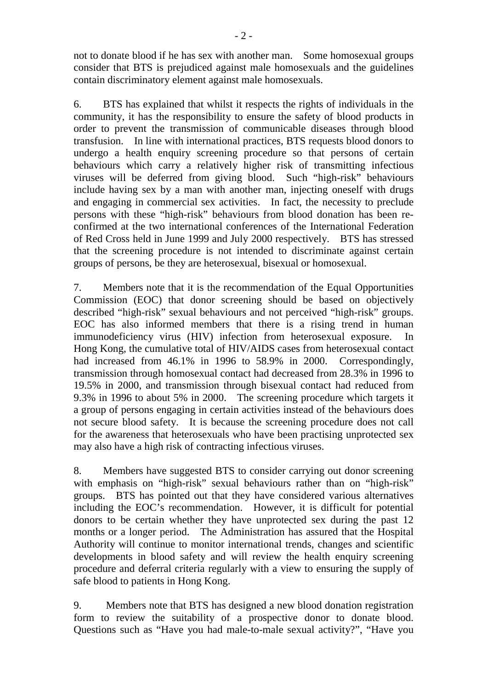not to donate blood if he has sex with another man. Some homosexual groups consider that BTS is prejudiced against male homosexuals and the guidelines contain discriminatory element against male homosexuals.

6. BTS has explained that whilst it respects the rights of individuals in the community, it has the responsibility to ensure the safety of blood products in order to prevent the transmission of communicable diseases through blood transfusion. In line with international practices, BTS requests blood donors to undergo a health enquiry screening procedure so that persons of certain behaviours which carry a relatively higher risk of transmitting infectious viruses will be deferred from giving blood. Such "high-risk" behaviours include having sex by a man with another man, injecting oneself with drugs and engaging in commercial sex activities. In fact, the necessity to preclude persons with these "high-risk" behaviours from blood donation has been reconfirmed at the two international conferences of the International Federation of Red Cross held in June 1999 and July 2000 respectively. BTS has stressed that the screening procedure is not intended to discriminate against certain groups of persons, be they are heterosexual, bisexual or homosexual.

7. Members note that it is the recommendation of the Equal Opportunities Commission (EOC) that donor screening should be based on objectively described "high-risk" sexual behaviours and not perceived "high-risk" groups. EOC has also informed members that there is a rising trend in human immunodeficiency virus (HIV) infection from heterosexual exposure. In Hong Kong, the cumulative total of HIV/AIDS cases from heterosexual contact had increased from 46.1% in 1996 to 58.9% in 2000. Correspondingly, transmission through homosexual contact had decreased from 28.3% in 1996 to 19.5% in 2000, and transmission through bisexual contact had reduced from 9.3% in 1996 to about 5% in 2000. The screening procedure which targets it a group of persons engaging in certain activities instead of the behaviours does not secure blood safety. It is because the screening procedure does not call for the awareness that heterosexuals who have been practising unprotected sex may also have a high risk of contracting infectious viruses.

8. Members have suggested BTS to consider carrying out donor screening with emphasis on "high-risk" sexual behaviours rather than on "high-risk" groups. BTS has pointed out that they have considered various alternatives including the EOC's recommendation. However, it is difficult for potential donors to be certain whether they have unprotected sex during the past 12 months or a longer period. The Administration has assured that the Hospital Authority will continue to monitor international trends, changes and scientific developments in blood safety and will review the health enquiry screening procedure and deferral criteria regularly with a view to ensuring the supply of safe blood to patients in Hong Kong.

9. Members note that BTS has designed a new blood donation registration form to review the suitability of a prospective donor to donate blood. Questions such as "Have you had male-to-male sexual activity?", "Have you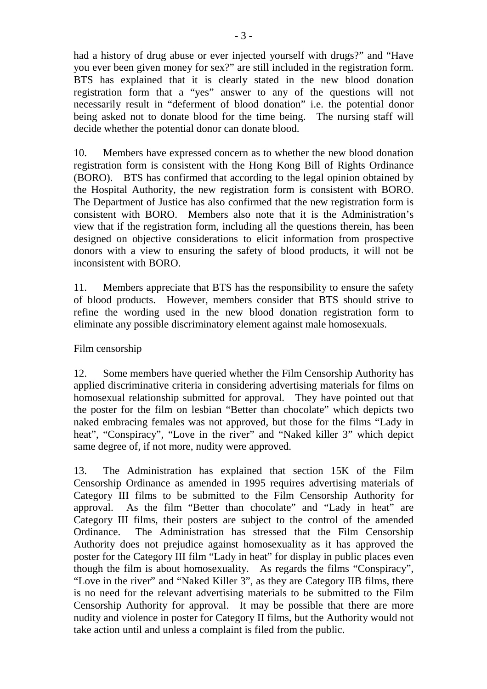had a history of drug abuse or ever injected yourself with drugs?" and "Have you ever been given money for sex?" are still included in the registration form. BTS has explained that it is clearly stated in the new blood donation registration form that a "yes" answer to any of the questions will not necessarily result in "deferment of blood donation" i.e. the potential donor being asked not to donate blood for the time being. The nursing staff will decide whether the potential donor can donate blood.

10. Members have expressed concern as to whether the new blood donation registration form is consistent with the Hong Kong Bill of Rights Ordinance (BORO). BTS has confirmed that according to the legal opinion obtained by the Hospital Authority, the new registration form is consistent with BORO. The Department of Justice has also confirmed that the new registration form is consistent with BORO. Members also note that it is the Administration's view that if the registration form, including all the questions therein, has been designed on objective considerations to elicit information from prospective donors with a view to ensuring the safety of blood products, it will not be inconsistent with BORO.

11. Members appreciate that BTS has the responsibility to ensure the safety of blood products. However, members consider that BTS should strive to refine the wording used in the new blood donation registration form to eliminate any possible discriminatory element against male homosexuals.

#### Film censorship

12. Some members have queried whether the Film Censorship Authority has applied discriminative criteria in considering advertising materials for films on homosexual relationship submitted for approval. They have pointed out that the poster for the film on lesbian "Better than chocolate" which depicts two naked embracing females was not approved, but those for the films "Lady in heat", "Conspiracy", "Love in the river" and "Naked killer 3" which depict same degree of, if not more, nudity were approved.

13. The Administration has explained that section 15K of the Film Censorship Ordinance as amended in 1995 requires advertising materials of Category III films to be submitted to the Film Censorship Authority for approval. As the film "Better than chocolate" and "Lady in heat" are Category III films, their posters are subject to the control of the amended Ordinance. The Administration has stressed that the Film Censorship Authority does not prejudice against homosexuality as it has approved the poster for the Category III film "Lady in heat" for display in public places even though the film is about homosexuality. As regards the films "Conspiracy", "Love in the river" and "Naked Killer 3", as they are Category IIB films, there is no need for the relevant advertising materials to be submitted to the Film Censorship Authority for approval. It may be possible that there are more nudity and violence in poster for Category II films, but the Authority would not take action until and unless a complaint is filed from the public.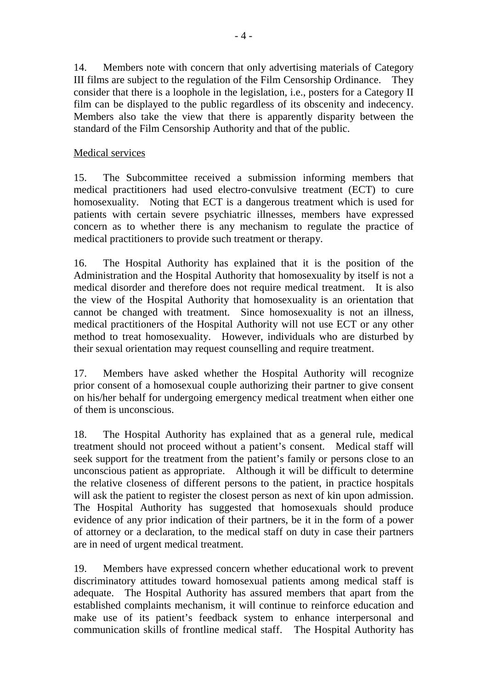14. Members note with concern that only advertising materials of Category III films are subject to the regulation of the Film Censorship Ordinance. They consider that there is a loophole in the legislation, i.e., posters for a Category II film can be displayed to the public regardless of its obscenity and indecency. Members also take the view that there is apparently disparity between the standard of the Film Censorship Authority and that of the public.

#### Medical services

15. The Subcommittee received a submission informing members that medical practitioners had used electro-convulsive treatment (ECT) to cure homosexuality. Noting that ECT is a dangerous treatment which is used for patients with certain severe psychiatric illnesses, members have expressed concern as to whether there is any mechanism to regulate the practice of medical practitioners to provide such treatment or therapy.

16. The Hospital Authority has explained that it is the position of the Administration and the Hospital Authority that homosexuality by itself is not a medical disorder and therefore does not require medical treatment. It is also the view of the Hospital Authority that homosexuality is an orientation that cannot be changed with treatment. Since homosexuality is not an illness, medical practitioners of the Hospital Authority will not use ECT or any other method to treat homosexuality. However, individuals who are disturbed by their sexual orientation may request counselling and require treatment.

17. Members have asked whether the Hospital Authority will recognize prior consent of a homosexual couple authorizing their partner to give consent on his/her behalf for undergoing emergency medical treatment when either one of them is unconscious.

18. The Hospital Authority has explained that as a general rule, medical treatment should not proceed without a patient's consent. Medical staff will seek support for the treatment from the patient's family or persons close to an unconscious patient as appropriate. Although it will be difficult to determine the relative closeness of different persons to the patient, in practice hospitals will ask the patient to register the closest person as next of kin upon admission. The Hospital Authority has suggested that homosexuals should produce evidence of any prior indication of their partners, be it in the form of a power of attorney or a declaration, to the medical staff on duty in case their partners are in need of urgent medical treatment.

19. Members have expressed concern whether educational work to prevent discriminatory attitudes toward homosexual patients among medical staff is adequate. The Hospital Authority has assured members that apart from the established complaints mechanism, it will continue to reinforce education and make use of its patient's feedback system to enhance interpersonal and communication skills of frontline medical staff. The Hospital Authority has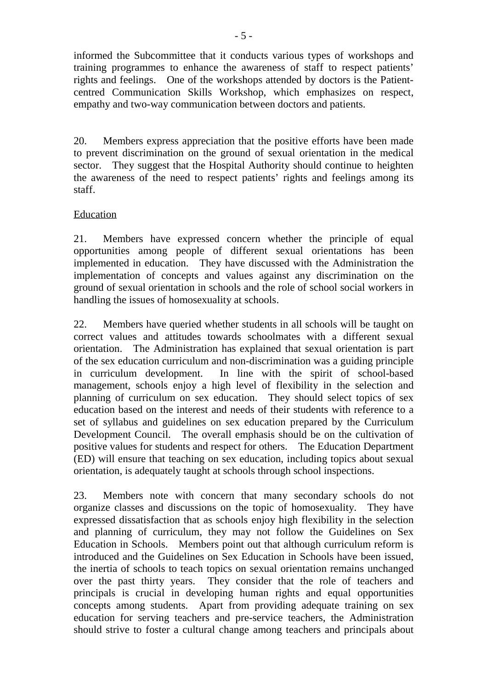informed the Subcommittee that it conducts various types of workshops and training programmes to enhance the awareness of staff to respect patients' rights and feelings. One of the workshops attended by doctors is the Patientcentred Communication Skills Workshop, which emphasizes on respect, empathy and two-way communication between doctors and patients.

20. Members express appreciation that the positive efforts have been made to prevent discrimination on the ground of sexual orientation in the medical sector. They suggest that the Hospital Authority should continue to heighten the awareness of the need to respect patients' rights and feelings among its staff.

#### Education

21. Members have expressed concern whether the principle of equal opportunities among people of different sexual orientations has been implemented in education. They have discussed with the Administration the implementation of concepts and values against any discrimination on the ground of sexual orientation in schools and the role of school social workers in handling the issues of homosexuality at schools.

22. Members have queried whether students in all schools will be taught on correct values and attitudes towards schoolmates with a different sexual orientation. The Administration has explained that sexual orientation is part of the sex education curriculum and non-discrimination was a guiding principle in curriculum development. In line with the spirit of school-based management, schools enjoy a high level of flexibility in the selection and planning of curriculum on sex education. They should select topics of sex education based on the interest and needs of their students with reference to a set of syllabus and guidelines on sex education prepared by the Curriculum Development Council. The overall emphasis should be on the cultivation of positive values for students and respect for others. The Education Department (ED) will ensure that teaching on sex education, including topics about sexual orientation, is adequately taught at schools through school inspections.

23. Members note with concern that many secondary schools do not organize classes and discussions on the topic of homosexuality. They have expressed dissatisfaction that as schools enjoy high flexibility in the selection and planning of curriculum, they may not follow the Guidelines on Sex Education in Schools. Members point out that although curriculum reform is introduced and the Guidelines on Sex Education in Schools have been issued, the inertia of schools to teach topics on sexual orientation remains unchanged over the past thirty years. They consider that the role of teachers and principals is crucial in developing human rights and equal opportunities concepts among students. Apart from providing adequate training on sex education for serving teachers and pre-service teachers, the Administration should strive to foster a cultural change among teachers and principals about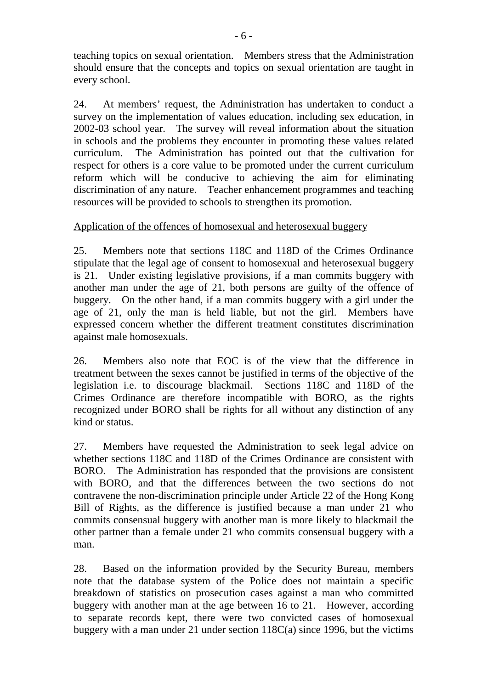teaching topics on sexual orientation. Members stress that the Administration should ensure that the concepts and topics on sexual orientation are taught in every school.

24. At members' request, the Administration has undertaken to conduct a survey on the implementation of values education, including sex education, in 2002-03 school year. The survey will reveal information about the situation in schools and the problems they encounter in promoting these values related curriculum. The Administration has pointed out that the cultivation for respect for others is a core value to be promoted under the current curriculum reform which will be conducive to achieving the aim for eliminating discrimination of any nature. Teacher enhancement programmes and teaching resources will be provided to schools to strengthen its promotion.

#### Application of the offences of homosexual and heterosexual buggery

25. Members note that sections 118C and 118D of the Crimes Ordinance stipulate that the legal age of consent to homosexual and heterosexual buggery is 21. Under existing legislative provisions, if a man commits buggery with another man under the age of 21, both persons are guilty of the offence of buggery. On the other hand, if a man commits buggery with a girl under the age of 21, only the man is held liable, but not the girl. Members have expressed concern whether the different treatment constitutes discrimination against male homosexuals.

26. Members also note that EOC is of the view that the difference in treatment between the sexes cannot be justified in terms of the objective of the legislation i.e. to discourage blackmail. Sections 118C and 118D of the Crimes Ordinance are therefore incompatible with BORO, as the rights recognized under BORO shall be rights for all without any distinction of any kind or status.

27. Members have requested the Administration to seek legal advice on whether sections 118C and 118D of the Crimes Ordinance are consistent with BORO. The Administration has responded that the provisions are consistent with BORO, and that the differences between the two sections do not contravene the non-discrimination principle under Article 22 of the Hong Kong Bill of Rights, as the difference is justified because a man under 21 who commits consensual buggery with another man is more likely to blackmail the other partner than a female under 21 who commits consensual buggery with a man.

28. Based on the information provided by the Security Bureau, members note that the database system of the Police does not maintain a specific breakdown of statistics on prosecution cases against a man who committed buggery with another man at the age between 16 to 21. However, according to separate records kept, there were two convicted cases of homosexual buggery with a man under 21 under section 118C(a) since 1996, but the victims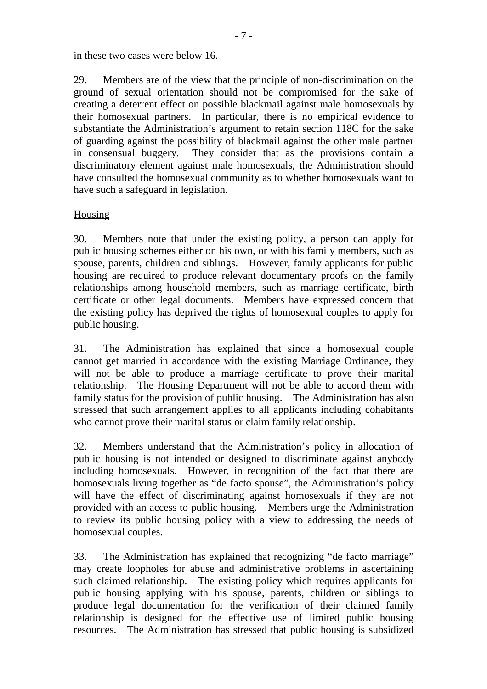in these two cases were below 16.

29. Members are of the view that the principle of non-discrimination on the ground of sexual orientation should not be compromised for the sake of creating a deterrent effect on possible blackmail against male homosexuals by their homosexual partners. In particular, there is no empirical evidence to substantiate the Administration's argument to retain section 118C for the sake of guarding against the possibility of blackmail against the other male partner in consensual buggery. They consider that as the provisions contain a discriminatory element against male homosexuals, the Administration should have consulted the homosexual community as to whether homosexuals want to have such a safeguard in legislation.

#### **Housing**

30. Members note that under the existing policy, a person can apply for public housing schemes either on his own, or with his family members, such as spouse, parents, children and siblings. However, family applicants for public housing are required to produce relevant documentary proofs on the family relationships among household members, such as marriage certificate, birth certificate or other legal documents. Members have expressed concern that the existing policy has deprived the rights of homosexual couples to apply for public housing.

31. The Administration has explained that since a homosexual couple cannot get married in accordance with the existing Marriage Ordinance, they will not be able to produce a marriage certificate to prove their marital relationship. The Housing Department will not be able to accord them with family status for the provision of public housing. The Administration has also stressed that such arrangement applies to all applicants including cohabitants who cannot prove their marital status or claim family relationship.

32. Members understand that the Administration's policy in allocation of public housing is not intended or designed to discriminate against anybody including homosexuals. However, in recognition of the fact that there are homosexuals living together as "de facto spouse", the Administration's policy will have the effect of discriminating against homosexuals if they are not provided with an access to public housing. Members urge the Administration to review its public housing policy with a view to addressing the needs of homosexual couples.

33. The Administration has explained that recognizing "de facto marriage" may create loopholes for abuse and administrative problems in ascertaining such claimed relationship. The existing policy which requires applicants for public housing applying with his spouse, parents, children or siblings to produce legal documentation for the verification of their claimed family relationship is designed for the effective use of limited public housing resources. The Administration has stressed that public housing is subsidized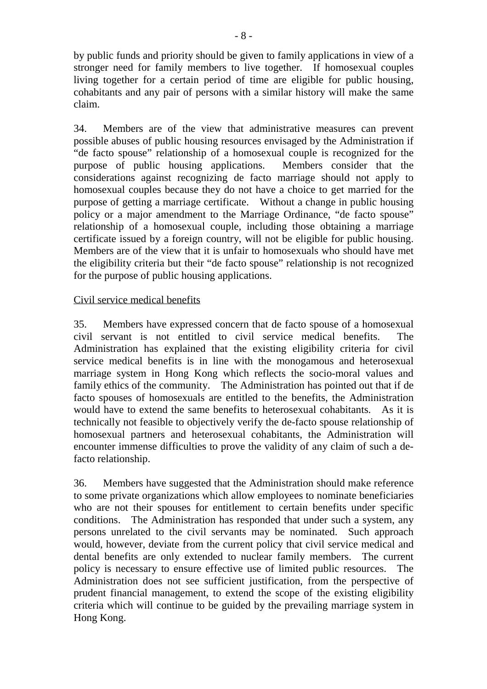by public funds and priority should be given to family applications in view of a stronger need for family members to live together. If homosexual couples living together for a certain period of time are eligible for public housing, cohabitants and any pair of persons with a similar history will make the same claim.

34. Members are of the view that administrative measures can prevent possible abuses of public housing resources envisaged by the Administration if "de facto spouse" relationship of a homosexual couple is recognized for the purpose of public housing applications. Members consider that the considerations against recognizing de facto marriage should not apply to homosexual couples because they do not have a choice to get married for the purpose of getting a marriage certificate. Without a change in public housing policy or a major amendment to the Marriage Ordinance, "de facto spouse" relationship of a homosexual couple, including those obtaining a marriage certificate issued by a foreign country, will not be eligible for public housing. Members are of the view that it is unfair to homosexuals who should have met the eligibility criteria but their "de facto spouse" relationship is not recognized for the purpose of public housing applications.

#### Civil service medical benefits

35. Members have expressed concern that de facto spouse of a homosexual civil servant is not entitled to civil service medical benefits. The Administration has explained that the existing eligibility criteria for civil service medical benefits is in line with the monogamous and heterosexual marriage system in Hong Kong which reflects the socio-moral values and family ethics of the community. The Administration has pointed out that if de facto spouses of homosexuals are entitled to the benefits, the Administration would have to extend the same benefits to heterosexual cohabitants. As it is technically not feasible to objectively verify the de-facto spouse relationship of homosexual partners and heterosexual cohabitants, the Administration will encounter immense difficulties to prove the validity of any claim of such a defacto relationship.

36. Members have suggested that the Administration should make reference to some private organizations which allow employees to nominate beneficiaries who are not their spouses for entitlement to certain benefits under specific conditions. The Administration has responded that under such a system, any persons unrelated to the civil servants may be nominated. Such approach would, however, deviate from the current policy that civil service medical and dental benefits are only extended to nuclear family members. The current policy is necessary to ensure effective use of limited public resources. The Administration does not see sufficient justification, from the perspective of prudent financial management, to extend the scope of the existing eligibility criteria which will continue to be guided by the prevailing marriage system in Hong Kong.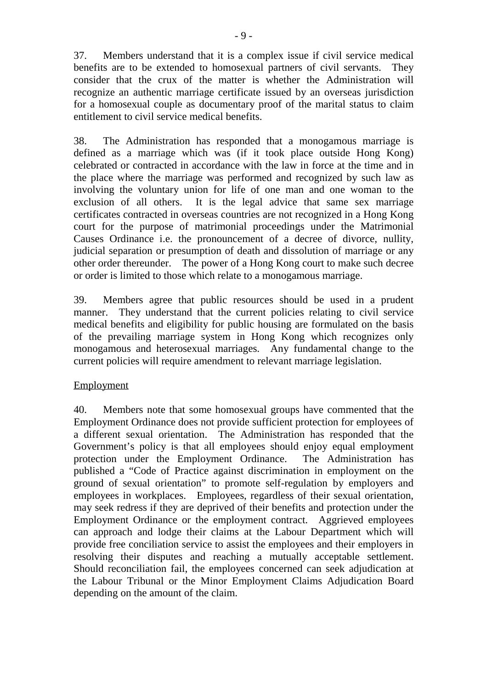37. Members understand that it is a complex issue if civil service medical benefits are to be extended to homosexual partners of civil servants. They consider that the crux of the matter is whether the Administration will recognize an authentic marriage certificate issued by an overseas jurisdiction for a homosexual couple as documentary proof of the marital status to claim entitlement to civil service medical benefits.

38. The Administration has responded that a monogamous marriage is defined as a marriage which was (if it took place outside Hong Kong) celebrated or contracted in accordance with the law in force at the time and in the place where the marriage was performed and recognized by such law as involving the voluntary union for life of one man and one woman to the exclusion of all others. It is the legal advice that same sex marriage certificates contracted in overseas countries are not recognized in a Hong Kong court for the purpose of matrimonial proceedings under the Matrimonial Causes Ordinance i.e. the pronouncement of a decree of divorce, nullity, judicial separation or presumption of death and dissolution of marriage or any other order thereunder. The power of a Hong Kong court to make such decree or order is limited to those which relate to a monogamous marriage.

39. Members agree that public resources should be used in a prudent manner. They understand that the current policies relating to civil service medical benefits and eligibility for public housing are formulated on the basis of the prevailing marriage system in Hong Kong which recognizes only monogamous and heterosexual marriages. Any fundamental change to the current policies will require amendment to relevant marriage legislation.

#### **Employment**

40. Members note that some homosexual groups have commented that the Employment Ordinance does not provide sufficient protection for employees of a different sexual orientation. The Administration has responded that the Government's policy is that all employees should enjoy equal employment protection under the Employment Ordinance. The Administration has published a "Code of Practice against discrimination in employment on the ground of sexual orientation" to promote self-regulation by employers and employees in workplaces. Employees, regardless of their sexual orientation, may seek redress if they are deprived of their benefits and protection under the Employment Ordinance or the employment contract. Aggrieved employees can approach and lodge their claims at the Labour Department which will provide free conciliation service to assist the employees and their employers in resolving their disputes and reaching a mutually acceptable settlement. Should reconciliation fail, the employees concerned can seek adjudication at the Labour Tribunal or the Minor Employment Claims Adjudication Board depending on the amount of the claim.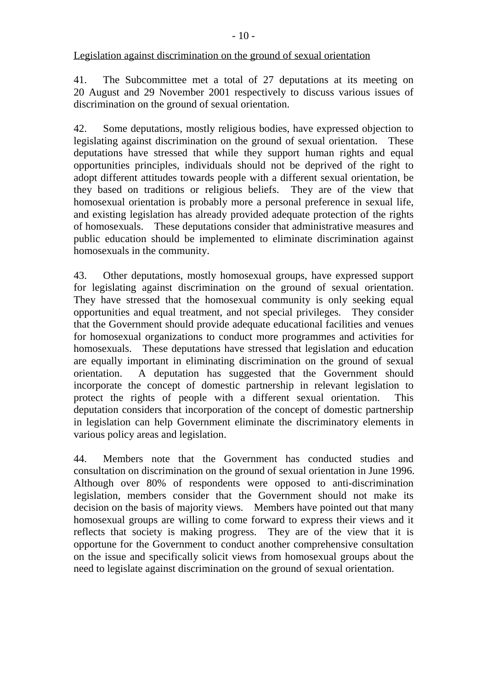Legislation against discrimination on the ground of sexual orientation

41. The Subcommittee met a total of 27 deputations at its meeting on 20 August and 29 November 2001 respectively to discuss various issues of discrimination on the ground of sexual orientation.

42. Some deputations, mostly religious bodies, have expressed objection to legislating against discrimination on the ground of sexual orientation. These deputations have stressed that while they support human rights and equal opportunities principles, individuals should not be deprived of the right to adopt different attitudes towards people with a different sexual orientation, be they based on traditions or religious beliefs. They are of the view that homosexual orientation is probably more a personal preference in sexual life, and existing legislation has already provided adequate protection of the rights of homosexuals. These deputations consider that administrative measures and public education should be implemented to eliminate discrimination against homosexuals in the community.

43. Other deputations, mostly homosexual groups, have expressed support for legislating against discrimination on the ground of sexual orientation. They have stressed that the homosexual community is only seeking equal opportunities and equal treatment, and not special privileges. They consider that the Government should provide adequate educational facilities and venues for homosexual organizations to conduct more programmes and activities for homosexuals. These deputations have stressed that legislation and education are equally important in eliminating discrimination on the ground of sexual orientation. A deputation has suggested that the Government should incorporate the concept of domestic partnership in relevant legislation to protect the rights of people with a different sexual orientation. This deputation considers that incorporation of the concept of domestic partnership in legislation can help Government eliminate the discriminatory elements in various policy areas and legislation.

44. Members note that the Government has conducted studies and consultation on discrimination on the ground of sexual orientation in June 1996. Although over 80% of respondents were opposed to anti-discrimination legislation, members consider that the Government should not make its decision on the basis of majority views. Members have pointed out that many homosexual groups are willing to come forward to express their views and it reflects that society is making progress. They are of the view that it is opportune for the Government to conduct another comprehensive consultation on the issue and specifically solicit views from homosexual groups about the need to legislate against discrimination on the ground of sexual orientation.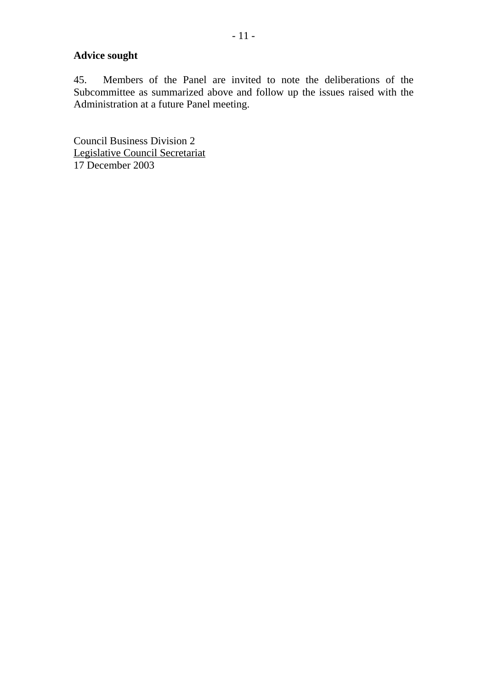## **Advice sought**

45. Members of the Panel are invited to note the deliberations of the Subcommittee as summarized above and follow up the issues raised with the Administration at a future Panel meeting.

Council Business Division 2 Legislative Council Secretariat 17 December 2003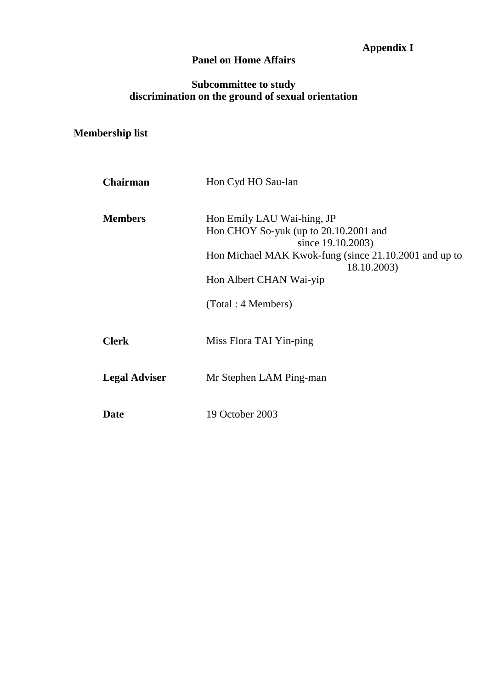## **Appendix I**

## **Panel on Home Affairs**

## **Subcommittee to study discrimination on the ground of sexual orientation**

# **Membership list**

| <b>Chairman</b>      | Hon Cyd HO Sau-lan                                                                                                                                |
|----------------------|---------------------------------------------------------------------------------------------------------------------------------------------------|
| <b>Members</b>       | Hon Emily LAU Wai-hing, JP<br>Hon CHOY So-yuk (up to 20.10.2001 and<br>since 19.10.2003)<br>Hon Michael MAK Kwok-fung (since 21.10.2001 and up to |
|                      | 18.10.2003)<br>Hon Albert CHAN Wai-yip                                                                                                            |
|                      | (Total: 4 Members)                                                                                                                                |
| <b>Clerk</b>         | Miss Flora TAI Yin-ping                                                                                                                           |
| <b>Legal Adviser</b> | Mr Stephen LAM Ping-man                                                                                                                           |
| <b>Date</b>          | 19 October 2003                                                                                                                                   |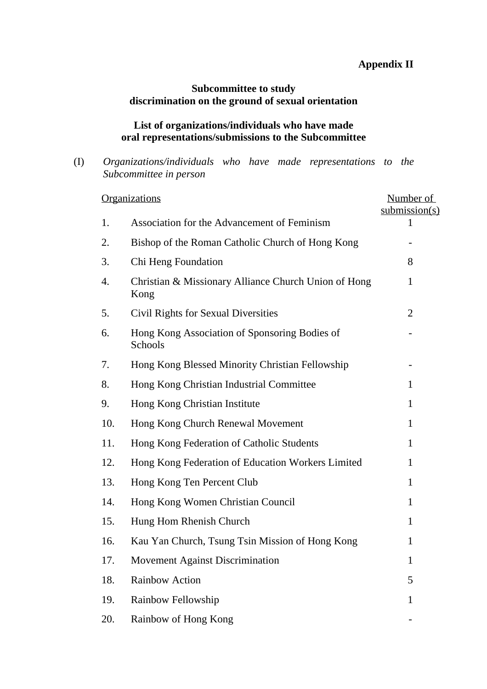## **Appendix II**

## **Subcommittee to study discrimination on the ground of sexual orientation**

#### **List of organizations/individuals who have made oral representations/submissions to the Subcommittee**

(I) *Organizations/individuals who have made representations to the Subcommittee in person*

|     | <b>Organizations</b>                                         | Number of<br>submission(s) |
|-----|--------------------------------------------------------------|----------------------------|
| 1.  | Association for the Advancement of Feminism                  | 1                          |
| 2.  | Bishop of the Roman Catholic Church of Hong Kong             |                            |
| 3.  | Chi Heng Foundation                                          | 8                          |
| 4.  | Christian & Missionary Alliance Church Union of Hong<br>Kong | $\mathbf{1}$               |
| 5.  | <b>Civil Rights for Sexual Diversities</b>                   | $\overline{2}$             |
| 6.  | Hong Kong Association of Sponsoring Bodies of<br>Schools     |                            |
| 7.  | Hong Kong Blessed Minority Christian Fellowship              |                            |
| 8.  | Hong Kong Christian Industrial Committee                     | 1                          |
| 9.  | Hong Kong Christian Institute                                | 1                          |
| 10. | Hong Kong Church Renewal Movement                            | $\mathbf{1}$               |
| 11. | Hong Kong Federation of Catholic Students                    | $\mathbf{1}$               |
| 12. | Hong Kong Federation of Education Workers Limited            | $\mathbf{1}$               |
| 13. | Hong Kong Ten Percent Club                                   | $\mathbf{1}$               |
| 14. | Hong Kong Women Christian Council                            | 1                          |
| 15. | Hung Hom Rhenish Church                                      | 1                          |
| 16. | Kau Yan Church, Tsung Tsin Mission of Hong Kong              | 1                          |
| 17. | Movement Against Discrimination                              | $\mathbf{1}$               |
| 18. | <b>Rainbow Action</b>                                        | 5                          |
| 19. | Rainbow Fellowship                                           | 1                          |
| 20. | Rainbow of Hong Kong                                         |                            |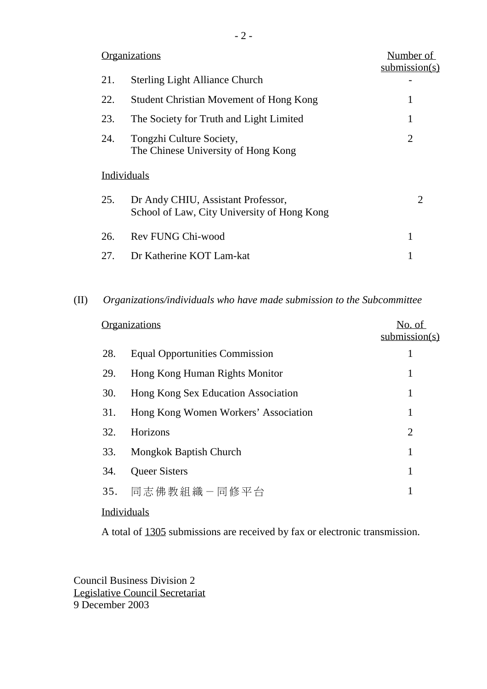|     | <b>Organizations</b>                                                              | Number of<br>submission(s) |
|-----|-----------------------------------------------------------------------------------|----------------------------|
| 21. | <b>Sterling Light Alliance Church</b>                                             |                            |
| 22. | <b>Student Christian Movement of Hong Kong</b>                                    | 1                          |
| 23. | The Society for Truth and Light Limited                                           | 1                          |
| 24. | Tongzhi Culture Society,<br>The Chinese University of Hong Kong                   | 2                          |
|     | Individuals                                                                       |                            |
| 25. | Dr Andy CHIU, Assistant Professor,<br>School of Law, City University of Hong Kong | $\mathcal{D}_{\cdot}$      |
| 26. | Rev FUNG Chi-wood                                                                 | 1                          |
| 27. | Dr Katherine KOT Lam-kat                                                          |                            |

#### (II) *Organizations/individuals who have made submission to the Subcommittee*

|     | <b>Organizations</b>                  | No. of<br>submission(s) |
|-----|---------------------------------------|-------------------------|
| 28. | <b>Equal Opportunities Commission</b> | 1                       |
| 29. | Hong Kong Human Rights Monitor        | 1                       |
| 30. | Hong Kong Sex Education Association   | 1                       |
| 31. | Hong Kong Women Workers' Association  | 1                       |
| 32. | Horizons                              | $\overline{2}$          |
| 33. | Mongkok Baptish Church                | 1                       |
| 34. | <b>Queer Sisters</b>                  | 1                       |
| 35. | 同志佛教組織-同修平台                           |                         |
|     |                                       |                         |

## **Individuals**

A total of 1305 submissions are received by fax or electronic transmission.

Council Business Division 2 Legislative Council Secretariat 9 December 2003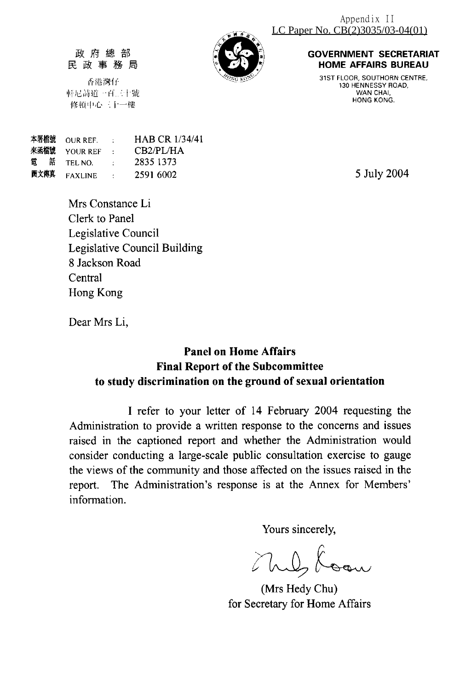

#### 政府總部 民政事務局

香港灣仔 軒尼詩道一百三十號 修頓中心三十一樓

**GOVERNMENT SECRETARIAT HOME AFFAIRS BUREAU** 

31ST FLOOR, SOUTHORN CENTRE, 130 HENNESSY ROAD, WAN CHAI HONG KONG.

5 July 2004

| 本署檔號 OUR REF.           | $\sim 100$ km s $^{-1}$                                                                     | <b>HAB CR 1/34/41</b> |
|-------------------------|---------------------------------------------------------------------------------------------|-----------------------|
| 來函檔號 YOUR REF           | <b>Contractor</b>                                                                           | CB2/PL/HA             |
| 電話 TELNO.               | $\mathcal{L}^{\mathcal{L}}$ and $\mathcal{L}^{\mathcal{L}}$ and $\mathcal{L}^{\mathcal{L}}$ | 2835 1373             |
| 圖文傳真 <sub>FAXLINE</sub> | $\sim 10^{11}$ m $^{-1}$                                                                    | 2591 6002             |

Mrs Constance Li Clerk to Panel Legislative Council **Legislative Council Building** 8 Jackson Road Central Hong Kong

Dear Mrs Li,

## **Panel on Home Affairs Final Report of the Subcommittee** to study discrimination on the ground of sexual orientation

I refer to your letter of 14 February 2004 requesting the Administration to provide a written response to the concerns and issues raised in the captioned report and whether the Administration would consider conducting a large-scale public consultation exercise to gauge the views of the community and those affected on the issues raised in the report. The Administration's response is at the Annex for Members' information.

Yours sincerely,

(Mrs Hedy Chu) for Secretary for Home Affairs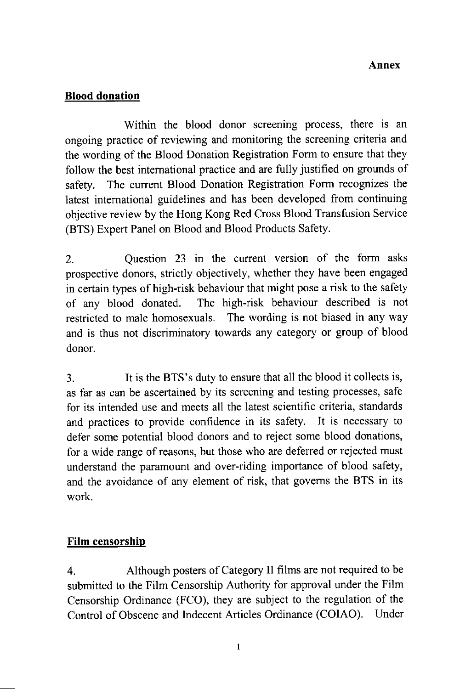## **Blood donation**

Within the blood donor screening process, there is an ongoing practice of reviewing and monitoring the screening criteria and the wording of the Blood Donation Registration Form to ensure that they follow the best international practice and are fully justified on grounds of The current Blood Donation Registration Form recognizes the safety. latest international guidelines and has been developed from continuing objective review by the Hong Kong Red Cross Blood Transfusion Service (BTS) Expert Panel on Blood and Blood Products Safety.

Question 23 in the current version of the form asks  $\overline{2}$ . prospective donors, strictly objectively, whether they have been engaged in certain types of high-risk behaviour that might pose a risk to the safety The high-risk behaviour described is not of any blood donated. restricted to male homosexuals. The wording is not biased in any way and is thus not discriminatory towards any category or group of blood donor.

It is the BTS's duty to ensure that all the blood it collects is,  $3.$ as far as can be ascertained by its screening and testing processes, safe for its intended use and meets all the latest scientific criteria, standards and practices to provide confidence in its safety. It is necessary to defer some potential blood donors and to reject some blood donations, for a wide range of reasons, but those who are deferred or rejected must understand the paramount and over-riding importance of blood safety, and the avoidance of any element of risk, that governs the BTS in its work.

## Film censorship

 $\overline{4}$ . Although posters of Category II films are not required to be submitted to the Film Censorship Authority for approval under the Film Censorship Ordinance (FCO), they are subject to the regulation of the Control of Obscene and Indecent Articles Ordinance (COIAO). Under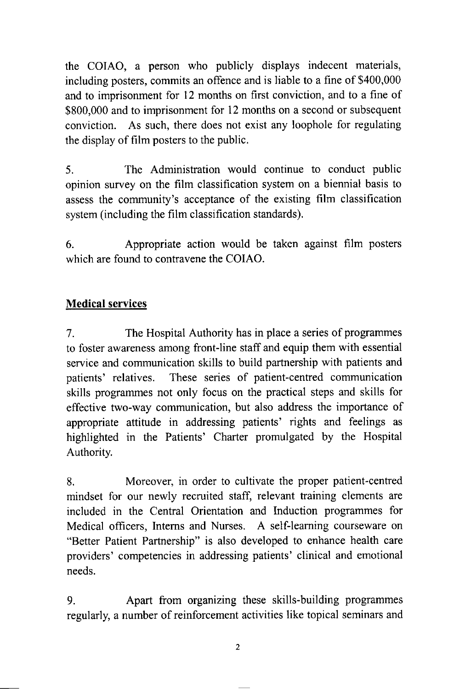the COIAO, a person who publicly displays indecent materials, including posters, commits an offence and is liable to a fine of \$400,000 and to imprisonment for 12 months on first conviction, and to a fine of \$800,000 and to imprisonment for 12 months on a second or subsequent conviction. As such, there does not exist any loophole for regulating the display of film posters to the public.

The Administration would continue to conduct public 5. opinion survey on the film classification system on a biennial basis to assess the community's acceptance of the existing film classification system (including the film classification standards).

Appropriate action would be taken against film posters 6. which are found to contravene the COIAO.

## **Medical services**

The Hospital Authority has in place a series of programmes  $7<sub>1</sub>$ to foster awareness among front-line staff and equip them with essential service and communication skills to build partnership with patients and These series of patient-centred communication patients' relatives. skills programmes not only focus on the practical steps and skills for effective two-way communication, but also address the importance of appropriate attitude in addressing patients' rights and feelings as highlighted in the Patients' Charter promulgated by the Hospital Authority.

8. Moreover, in order to cultivate the proper patient-centred mindset for our newly recruited staff, relevant training elements are included in the Central Orientation and Induction programmes for Medical officers, Interns and Nurses. A self-learning courseware on "Better Patient Partnership" is also developed to enhance health care providers' competencies in addressing patients' clinical and emotional needs.

Apart from organizing these skills-building programmes 9. regularly, a number of reinforcement activities like topical seminars and

 $\overline{2}$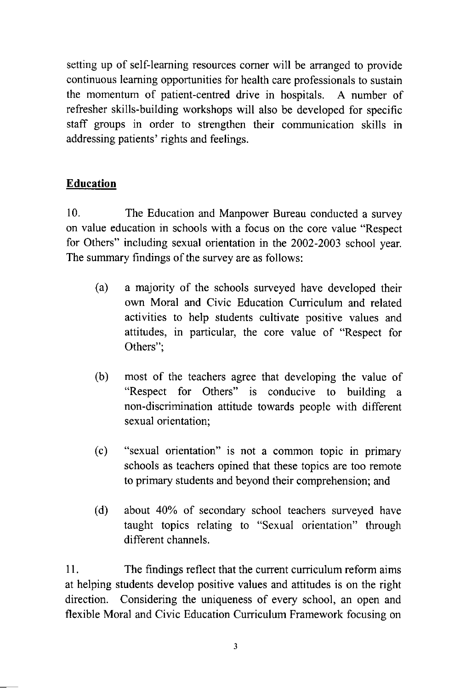setting up of self-learning resources corner will be arranged to provide continuous learning opportunities for health care professionals to sustain the momentum of patient-centred drive in hospitals. A number of refresher skills-building workshops will also be developed for specific staff groups in order to strengthen their communication skills in addressing patients' rights and feelings.

## **Education**

 $10<sub>1</sub>$ The Education and Manpower Bureau conducted a survey on value education in schools with a focus on the core value "Respect" for Others" including sexual orientation in the 2002-2003 school year. The summary findings of the survey are as follows:

- $(a)$ a majority of the schools surveyed have developed their own Moral and Civic Education Curriculum and related activities to help students cultivate positive values and attitudes, in particular, the core value of "Respect for Others":
- (b) most of the teachers agree that developing the value of "Respect for Others" is conducive to building a non-discrimination attitude towards people with different sexual orientation;
- "sexual orientation" is not a common topic in primary  $(c)$ schools as teachers opined that these topics are too remote to primary students and beyond their comprehension; and
- $(d)$ about 40% of secondary school teachers surveyed have taught topics relating to "Sexual orientation" through different channels.

11. The findings reflect that the current curriculum reform aims at helping students develop positive values and attitudes is on the right direction. Considering the uniqueness of every school, an open and flexible Moral and Civic Education Curriculum Framework focusing on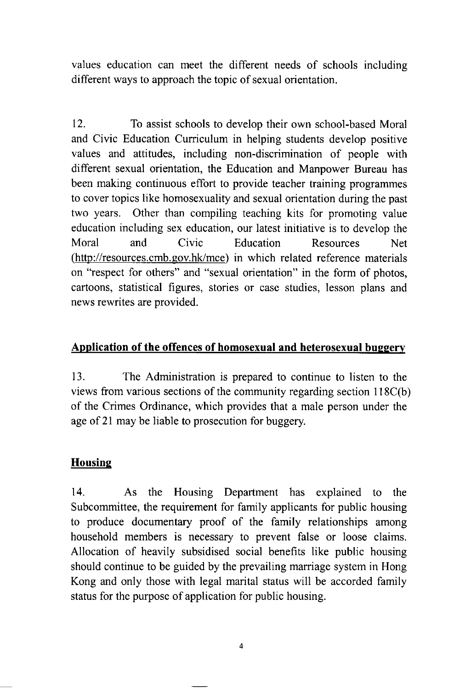values education can meet the different needs of schools including different ways to approach the topic of sexual orientation.

 $12.$ To assist schools to develop their own school-based Moral and Civic Education Curriculum in helping students develop positive values and attitudes, including non-discrimination of people with different sexual orientation, the Education and Manpower Bureau has been making continuous effort to provide teacher training programmes to cover topics like homosexuality and sexual orientation during the past two years. Other than compiling teaching kits for promoting value education including sex education, our latest initiative is to develop the Moral and Civic Resources Education **Net** (http://resources.cmb.gov.hk/mce) in which related reference materials on "respect for others" and "sexual orientation" in the form of photos, cartoons, statistical figures, stories or case studies, lesson plans and news rewrites are provided.

## Application of the offences of homosexual and heterosexual buggery

13. The Administration is prepared to continue to listen to the views from various sections of the community regarding section 118C(b) of the Crimes Ordinance, which provides that a male person under the age of 21 may be liable to prosecution for buggery.

## **Housing**

 $14.$  $As$ the Housing Department has explained to the Subcommittee, the requirement for family applicants for public housing to produce documentary proof of the family relationships among household members is necessary to prevent false or loose claims. Allocation of heavily subsidised social benefits like public housing should continue to be guided by the prevailing marriage system in Hong Kong and only those with legal marital status will be accorded family status for the purpose of application for public housing.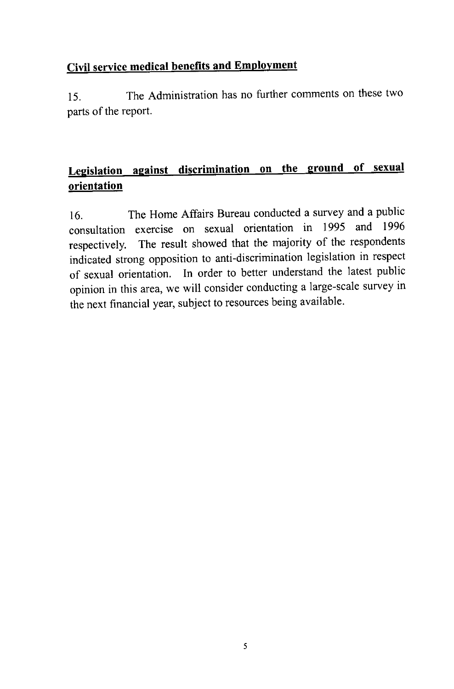# **Civil service medical benefits and Employment**

The Administration has no further comments on these two 15. parts of the report.

# Legislation against discrimination on the ground of sexual orientation

The Home Affairs Bureau conducted a survey and a public 16. consultation exercise on sexual orientation in 1995 and 1996 respectively. The result showed that the majority of the respondents indicated strong opposition to anti-discrimination legislation in respect of sexual orientation. In order to better understand the latest public opinion in this area, we will consider conducting a large-scale survey in the next financial year, subject to resources being available.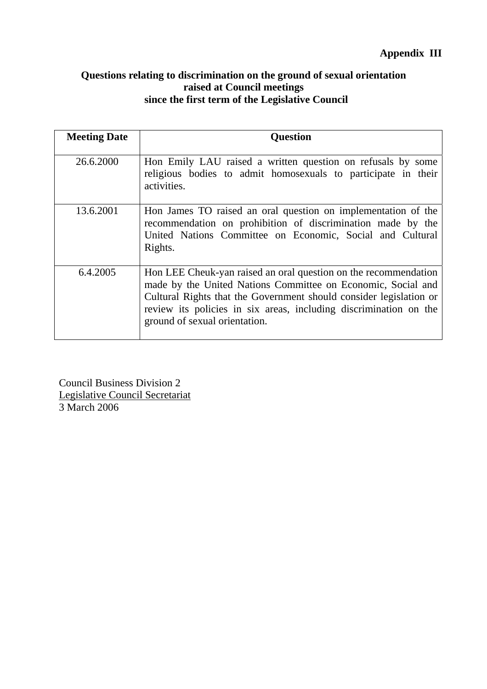## **Questions relating to discrimination on the ground of sexual orientation raised at Council meetings since the first term of the Legislative Council**

| <b>Meeting Date</b> | <b>Question</b>                                                                                                                                                                                                                                                                                             |
|---------------------|-------------------------------------------------------------------------------------------------------------------------------------------------------------------------------------------------------------------------------------------------------------------------------------------------------------|
| 26.6.2000           | Hon Emily LAU raised a written question on refusals by some<br>religious bodies to admit homosexuals to participate in their<br>activities.                                                                                                                                                                 |
| 13.6.2001           | Hon James TO raised an oral question on implementation of the<br>recommendation on prohibition of discrimination made by the<br>United Nations Committee on Economic, Social and Cultural<br>Rights.                                                                                                        |
| 6.4.2005            | Hon LEE Cheuk-yan raised an oral question on the recommendation<br>made by the United Nations Committee on Economic, Social and<br>Cultural Rights that the Government should consider legislation or<br>review its policies in six areas, including discrimination on the<br>ground of sexual orientation. |

Council Business Division 2 Legislative Council Secretariat 3 March 2006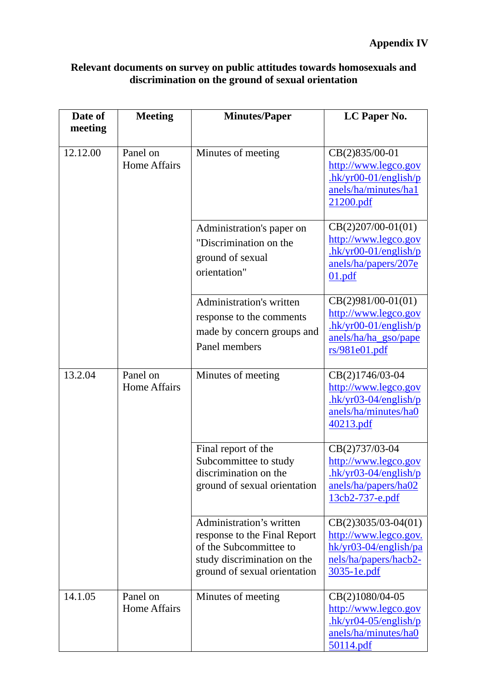| Relevant documents on survey on public attitudes towards homosexuals and |
|--------------------------------------------------------------------------|
| discrimination on the ground of sexual orientation                       |

| Date of  | <b>Meeting</b>                  | <b>Minutes/Paper</b>                                                                                                                              | LC Paper No.                                                                                                      |
|----------|---------------------------------|---------------------------------------------------------------------------------------------------------------------------------------------------|-------------------------------------------------------------------------------------------------------------------|
| meeting  |                                 |                                                                                                                                                   |                                                                                                                   |
| 12.12.00 | Panel on<br><b>Home Affairs</b> | Minutes of meeting                                                                                                                                | CB(2)835/00-01<br>http://www.legco.gov<br>$hk/yr00-01/english/p$<br>anels/ha/minutes/ha1<br>21200.pdf             |
|          |                                 | Administration's paper on<br>"Discrimination on the<br>ground of sexual<br>orientation"                                                           | $CB(2)207/00-01(01)$<br>http://www.legco.gov<br>$hk/yr00-01/english/p$<br>anels/ha/papers/207e<br>01.pdf          |
|          |                                 | <b>Administration's written</b><br>response to the comments<br>made by concern groups and<br>Panel members                                        | $CB(2)981/00-01(01)$<br>http://www.legco.gov<br>$hk/yr00-01/english/p$<br>anels/ha/ha_gso/pape<br>rs/981e01.pdf   |
| 13.2.04  | Panel on<br><b>Home Affairs</b> | Minutes of meeting                                                                                                                                | CB(2)1746/03-04<br>http://www.legco.gov<br>$hk/yr03-04/english/p$<br>anels/ha/minutes/ha0<br>40213.pdf            |
|          |                                 | Final report of the<br>Subcommittee to study<br>discrimination on the<br>ground of sexual orientation                                             | CB(2)737/03-04<br>http://www.legco.gov<br>$hk/yr03-04/english/p$<br>anels/ha/papers/ha02<br>13cb2-737-e.pdf       |
|          |                                 | Administration's written<br>response to the Final Report<br>of the Subcommittee to<br>study discrimination on the<br>ground of sexual orientation | $CB(2)3035/03-04(01)$<br>http://www.legco.gov.<br>$hk/yr03-04/english/pa$<br>nels/ha/papers/hacb2-<br>3035-1e.pdf |
| 14.1.05  | Panel on<br><b>Home Affairs</b> | Minutes of meeting                                                                                                                                | CB(2)1080/04-05<br>http://www.legco.gov<br>$-hk/yr04-05/english/p$<br>anels/ha/minutes/ha0<br>50114.pdf           |